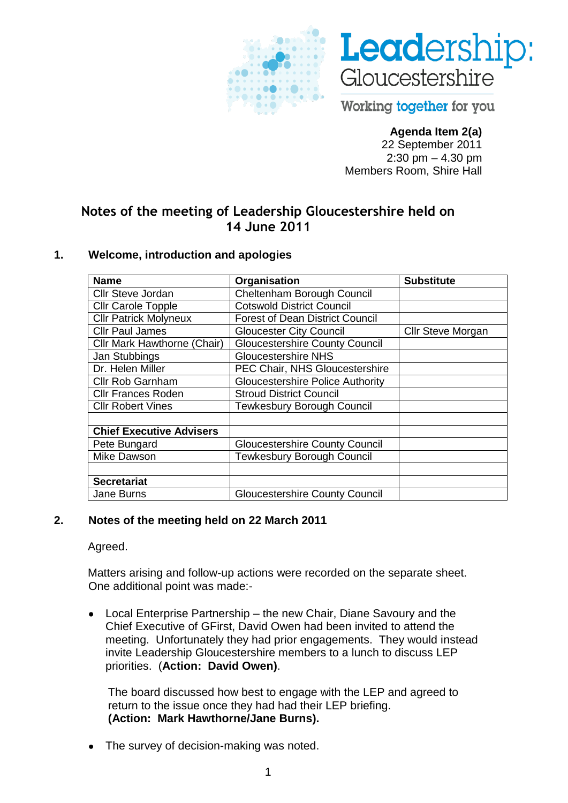



Working together for you

# **Agenda Item 2(a)**

22 September 2011 2:30 pm – 4.30 pm Members Room, Shire Hall

# **Notes of the meeting of Leadership Gloucestershire held on 14 June 2011**

#### **1. Welcome, introduction and apologies**

| <b>Name</b>                     | Organisation                            | <b>Substitute</b>        |
|---------------------------------|-----------------------------------------|--------------------------|
| Cllr Steve Jordan               | Cheltenham Borough Council              |                          |
| <b>Cllr Carole Topple</b>       | <b>Cotswold District Council</b>        |                          |
| <b>Cllr Patrick Molyneux</b>    | <b>Forest of Dean District Council</b>  |                          |
| <b>Cllr Paul James</b>          | <b>Gloucester City Council</b>          | <b>Cllr Steve Morgan</b> |
| Cllr Mark Hawthorne (Chair)     | <b>Gloucestershire County Council</b>   |                          |
| Jan Stubbings                   | <b>Gloucestershire NHS</b>              |                          |
| Dr. Helen Miller                | PEC Chair, NHS Gloucestershire          |                          |
| <b>Cllr Rob Garnham</b>         | <b>Gloucestershire Police Authority</b> |                          |
| <b>Cllr Frances Roden</b>       | <b>Stroud District Council</b>          |                          |
| <b>Cllr Robert Vines</b>        | <b>Tewkesbury Borough Council</b>       |                          |
|                                 |                                         |                          |
| <b>Chief Executive Advisers</b> |                                         |                          |
| Pete Bungard                    | <b>Gloucestershire County Council</b>   |                          |
| Mike Dawson                     | <b>Tewkesbury Borough Council</b>       |                          |
|                                 |                                         |                          |
| <b>Secretariat</b>              |                                         |                          |
| <b>Jane Burns</b>               | <b>Gloucestershire County Council</b>   |                          |

#### **2. Notes of the meeting held on 22 March 2011**

Agreed.

Matters arising and follow-up actions were recorded on the separate sheet. One additional point was made:-

Local Enterprise Partnership – the new Chair, Diane Savoury and the Chief Executive of GFirst, David Owen had been invited to attend the meeting. Unfortunately they had prior engagements. They would instead invite Leadership Gloucestershire members to a lunch to discuss LEP priorities. (**Action: David Owen)**.

The board discussed how best to engage with the LEP and agreed to return to the issue once they had had their LEP briefing. **(Action: Mark Hawthorne/Jane Burns).**

The survey of decision-making was noted.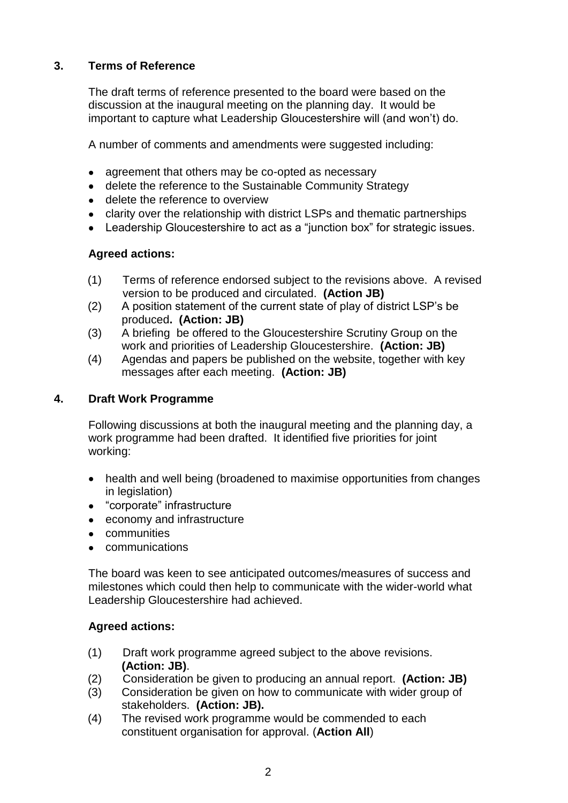# **3. Terms of Reference**

The draft terms of reference presented to the board were based on the discussion at the inaugural meeting on the planning day. It would be important to capture what Leadership Gloucestershire will (and won"t) do.

A number of comments and amendments were suggested including:

- agreement that others may be co-opted as necessary
- delete the reference to the Sustainable Community Strategy  $\bullet$
- delete the reference to overview
- clarity over the relationship with district LSPs and thematic partnerships
- Leadership Gloucestershire to act as a "junction box" for strategic issues.

#### **Agreed actions:**

- (1) Terms of reference endorsed subject to the revisions above. A revised version to be produced and circulated. **(Action JB)**
- (2) A position statement of the current state of play of district LSP"s be produced**. (Action: JB)**
- (3) A briefing be offered to the Gloucestershire Scrutiny Group on the work and priorities of Leadership Gloucestershire. **(Action: JB)**
- (4) Agendas and papers be published on the website, together with key messages after each meeting. **(Action: JB)**

#### **4. Draft Work Programme**

Following discussions at both the inaugural meeting and the planning day, a work programme had been drafted. It identified five priorities for joint working:

- health and well being (broadened to maximise opportunities from changes  $\bullet$ in legislation)
- "corporate" infrastructure
- economy and infrastructure
- **•** communities
- communications  $\bullet$

The board was keen to see anticipated outcomes/measures of success and milestones which could then help to communicate with the wider-world what Leadership Gloucestershire had achieved.

#### **Agreed actions:**

- (1) Draft work programme agreed subject to the above revisions. **(Action: JB)**.
- (2) Consideration be given to producing an annual report. **(Action: JB)**
- (3) Consideration be given on how to communicate with wider group of stakeholders. **(Action: JB).**
- (4) The revised work programme would be commended to each constituent organisation for approval. (**Action All**)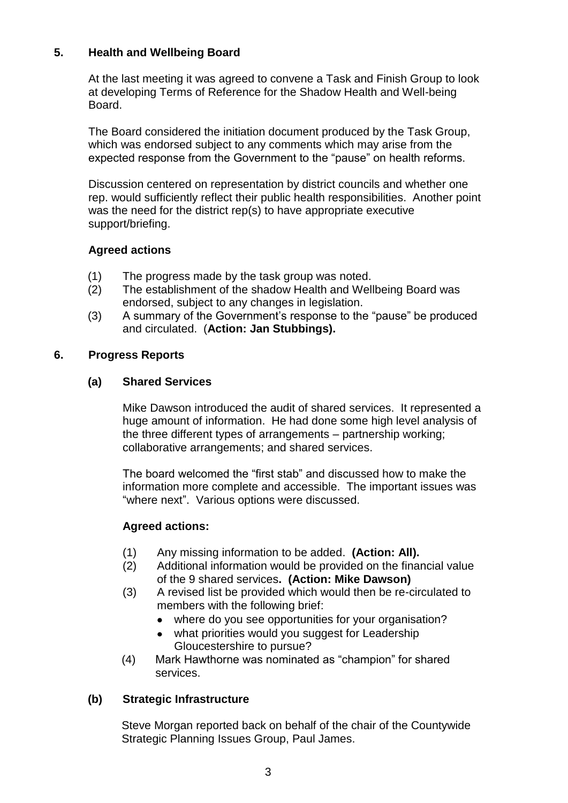### **5. Health and Wellbeing Board**

At the last meeting it was agreed to convene a Task and Finish Group to look at developing Terms of Reference for the Shadow Health and Well-being Board.

The Board considered the initiation document produced by the Task Group, which was endorsed subject to any comments which may arise from the expected response from the Government to the "pause" on health reforms.

Discussion centered on representation by district councils and whether one rep. would sufficiently reflect their public health responsibilities. Another point was the need for the district rep(s) to have appropriate executive support/briefing.

### **Agreed actions**

- (1) The progress made by the task group was noted.
- (2) The establishment of the shadow Health and Wellbeing Board was endorsed, subject to any changes in legislation.
- (3) A summary of the Government"s response to the "pause" be produced and circulated. (**Action: Jan Stubbings).**

### **6. Progress Reports**

#### **(a) Shared Services**

Mike Dawson introduced the audit of shared services. It represented a huge amount of information. He had done some high level analysis of the three different types of arrangements – partnership working; collaborative arrangements; and shared services.

The board welcomed the "first stab" and discussed how to make the information more complete and accessible. The important issues was "where next". Various options were discussed.

### **Agreed actions:**

- (1) Any missing information to be added. **(Action: All).**
- (2) Additional information would be provided on the financial value of the 9 shared services**. (Action: Mike Dawson)**
- (3) A revised list be provided which would then be re-circulated to members with the following brief:
	- $\bullet$ where do you see opportunities for your organisation?
	- what priorities would you suggest for Leadership Gloucestershire to pursue?
- (4) Mark Hawthorne was nominated as "champion" for shared services.

### **(b) Strategic Infrastructure**

Steve Morgan reported back on behalf of the chair of the Countywide Strategic Planning Issues Group, Paul James.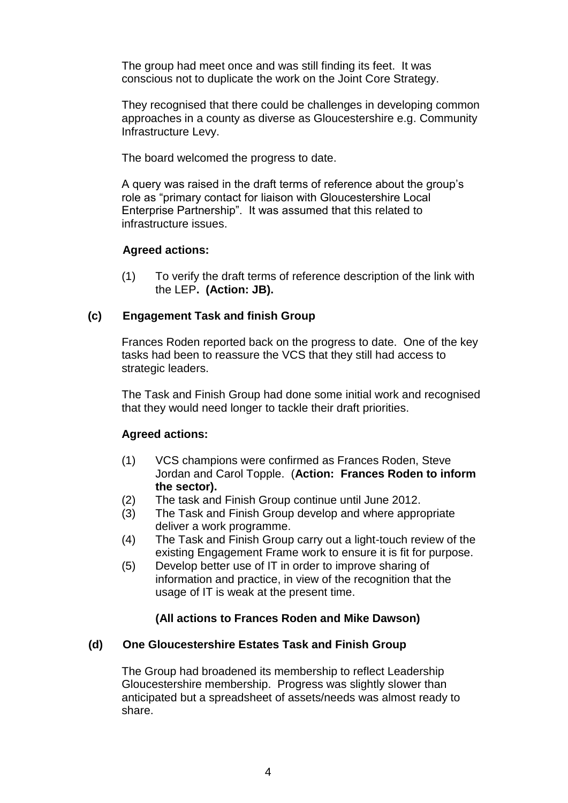The group had meet once and was still finding its feet. It was conscious not to duplicate the work on the Joint Core Strategy.

They recognised that there could be challenges in developing common approaches in a county as diverse as Gloucestershire e.g. Community Infrastructure Levy.

The board welcomed the progress to date.

A query was raised in the draft terms of reference about the group"s role as "primary contact for liaison with Gloucestershire Local Enterprise Partnership". It was assumed that this related to infrastructure issues.

### **Agreed actions:**

(1) To verify the draft terms of reference description of the link with the LEP**. (Action: JB).**

### **(c) Engagement Task and finish Group**

Frances Roden reported back on the progress to date. One of the key tasks had been to reassure the VCS that they still had access to strategic leaders.

The Task and Finish Group had done some initial work and recognised that they would need longer to tackle their draft priorities.

### **Agreed actions:**

- (1) VCS champions were confirmed as Frances Roden, Steve Jordan and Carol Topple. (**Action: Frances Roden to inform the sector).**
- (2) The task and Finish Group continue until June 2012.
- (3) The Task and Finish Group develop and where appropriate deliver a work programme.
- (4) The Task and Finish Group carry out a light-touch review of the existing Engagement Frame work to ensure it is fit for purpose.
- (5) Develop better use of IT in order to improve sharing of information and practice, in view of the recognition that the usage of IT is weak at the present time.

### **(All actions to Frances Roden and Mike Dawson)**

### **(d) One Gloucestershire Estates Task and Finish Group**

The Group had broadened its membership to reflect Leadership Gloucestershire membership. Progress was slightly slower than anticipated but a spreadsheet of assets/needs was almost ready to share.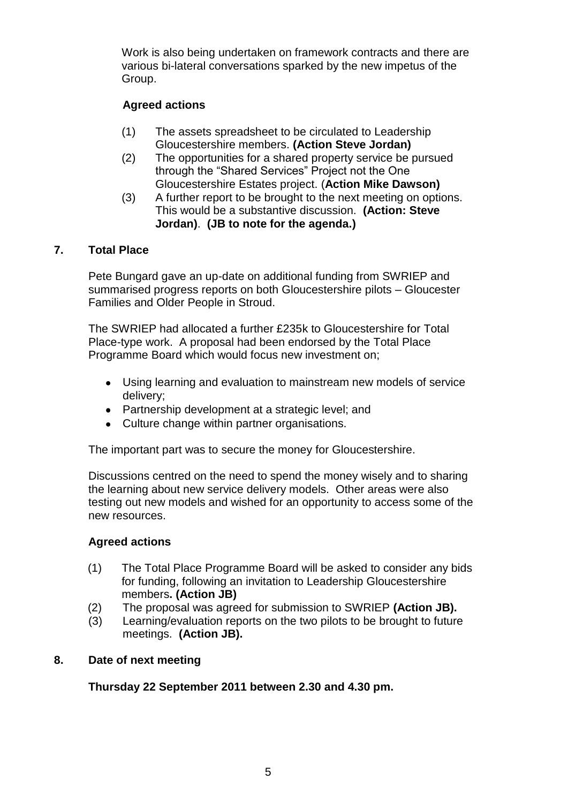Work is also being undertaken on framework contracts and there are various bi-lateral conversations sparked by the new impetus of the Group.

# **Agreed actions**

- (1) The assets spreadsheet to be circulated to Leadership Gloucestershire members. **(Action Steve Jordan)**
- (2) The opportunities for a shared property service be pursued through the "Shared Services" Project not the One Gloucestershire Estates project. (**Action Mike Dawson)**
- (3) A further report to be brought to the next meeting on options. This would be a substantive discussion. **(Action: Steve Jordan)**. **(JB to note for the agenda.)**

### **7. Total Place**

Pete Bungard gave an up-date on additional funding from SWRIEP and summarised progress reports on both Gloucestershire pilots – Gloucester Families and Older People in Stroud.

The SWRIEP had allocated a further £235k to Gloucestershire for Total Place-type work. A proposal had been endorsed by the Total Place Programme Board which would focus new investment on;

- Using learning and evaluation to mainstream new models of service delivery;
- Partnership development at a strategic level; and
- Culture change within partner organisations.

The important part was to secure the money for Gloucestershire.

Discussions centred on the need to spend the money wisely and to sharing the learning about new service delivery models. Other areas were also testing out new models and wished for an opportunity to access some of the new resources.

#### **Agreed actions**

- (1) The Total Place Programme Board will be asked to consider any bids for funding, following an invitation to Leadership Gloucestershire members**. (Action JB)**
- (2) The proposal was agreed for submission to SWRIEP **(Action JB).**
- (3) Learning/evaluation reports on the two pilots to be brought to future meetings. **(Action JB).**

#### **8. Date of next meeting**

**Thursday 22 September 2011 between 2.30 and 4.30 pm.**